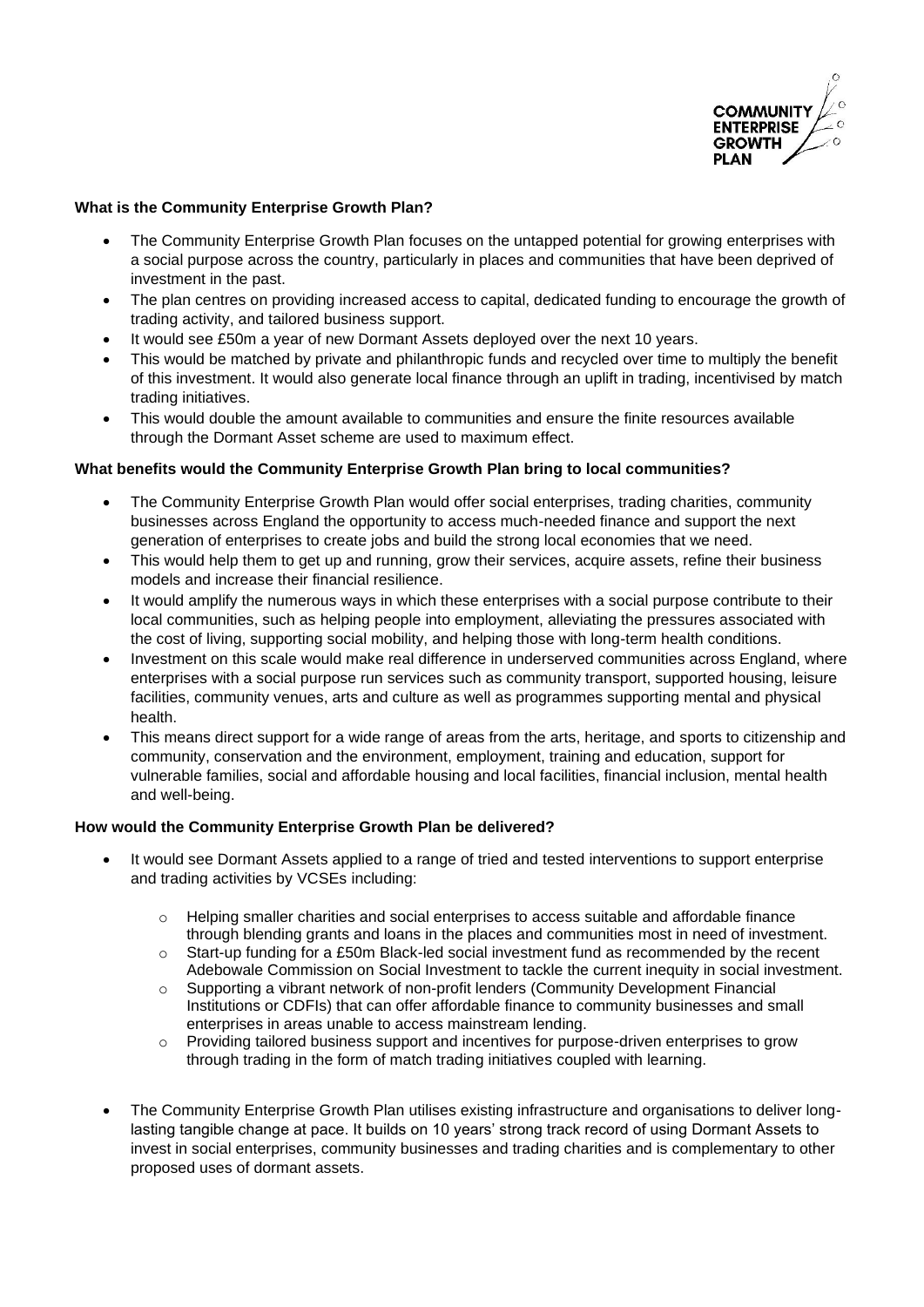

## **What is the Community Enterprise Growth Plan?**

- The Community Enterprise Growth Plan focuses on the untapped potential for growing enterprises with a social purpose across the country, particularly in places and communities that have been deprived of investment in the past.
- The plan centres on providing increased access to capital, dedicated funding to encourage the growth of trading activity, and tailored business support.
- It would see £50m a year of new Dormant Assets deployed over the next 10 years.
- This would be matched by private and philanthropic funds and recycled over time to multiply the benefit of this investment. It would also generate local finance through an uplift in trading, incentivised by match trading initiatives.
- This would double the amount available to communities and ensure the finite resources available through the Dormant Asset scheme are used to maximum effect.

## **What benefits would the Community Enterprise Growth Plan bring to local communities?**

- The Community Enterprise Growth Plan would offer social enterprises, trading charities, community businesses across England the opportunity to access much-needed finance and support the next generation of enterprises to create jobs and build the strong local economies that we need.
- This would help them to get up and running, grow their services, acquire assets, refine their business models and increase their financial resilience.
- It would amplify the numerous ways in which these enterprises with a social purpose contribute to their local communities, such as helping people into employment, alleviating the pressures associated with the cost of living, supporting social mobility, and helping those with long-term health conditions.
- Investment on this scale would make real difference in underserved communities across England, where enterprises with a social purpose run services such as community transport, supported housing, leisure facilities, community venues, arts and culture as well as programmes supporting mental and physical health.
- This means direct support for a wide range of areas from the arts, heritage, and sports to citizenship and community, conservation and the environment, employment, training and education, support for vulnerable families, social and affordable housing and local facilities, financial inclusion, mental health and well-being.

## **How would the Community Enterprise Growth Plan be delivered?**

- It would see Dormant Assets applied to a range of tried and tested interventions to support enterprise and trading activities by VCSEs including:
	- $\circ$  Helping smaller charities and social enterprises to access suitable and affordable finance through blending grants and loans in the places and communities most in need of investment.
	- o Start-up funding for a £50m Black-led social investment fund as recommended by the recent Adebowale Commission on Social Investment to tackle the current inequity in social investment.
	- o Supporting a vibrant network of non-profit lenders (Community Development Financial Institutions or CDFIs) that can offer affordable finance to community businesses and small enterprises in areas unable to access mainstream lending.
	- o Providing tailored business support and incentives for purpose-driven enterprises to grow through trading in the form of match trading initiatives coupled with learning.
- The Community Enterprise Growth Plan utilises existing infrastructure and organisations to deliver longlasting tangible change at pace. It builds on 10 years' strong track record of using Dormant Assets to invest in social enterprises, community businesses and trading charities and is complementary to other proposed uses of dormant assets.